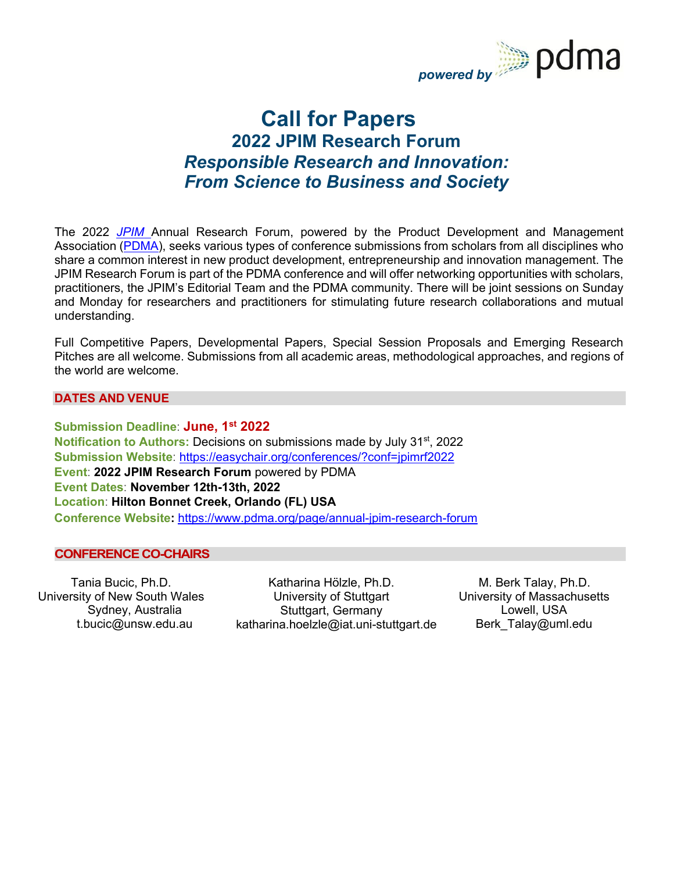

# **Call for Papers 2022 JPIM Research Forum** *Responsible Research and Innovation: From Science to Business and Society*

The 2022 *JPIM* Annual Research Forum, powered by the Product Development and Management Association (PDMA), seeks various types of conference submissions from scholars from all disciplines who share a common interest in new product development, entrepreneurship and innovation management. The JPIM Research Forum is part of the PDMA conference and will offer networking opportunities with scholars, practitioners, the JPIM's Editorial Team and the PDMA community. There will be joint sessions on Sunday and Monday for researchers and practitioners for stimulating future research collaborations and mutual understanding.

Full Competitive Papers, Developmental Papers, Special Session Proposals and Emerging Research Pitches are all welcome. Submissions from all academic areas, methodological approaches, and regions of the world are welcome.

# **DATES AND VENUE**

**Submission Deadline**: **June, 1st 2022 Notification to Authors: Decisions on submissions made by July 31<sup>st</sup>, 2022 Submission Website**: https://easychair.org/conferences/?conf=jpimrf2022 **Event**: **2022 JPIM Research Forum** powered by PDMA **Event Dates**: **November 12th-13th, 2022 Location**: **Hilton Bonnet Creek, Orlando (FL) USA Conference Website:** https://www.pdma.org/page/annual-jpim-research-forum

## **CONFERENCE CO-CHAIRS**

Tania Bucic, Ph.D. University of New South Wales Sydney, Australia t.bucic@unsw.edu.au

Katharina Hölzle, Ph.D. University of Stuttgart Stuttgart, Germany katharina.hoelzle@iat.uni-stuttgart.de

M. Berk Talay, Ph.D. University of Massachusetts Lowell, USA Berk\_Talay@uml.edu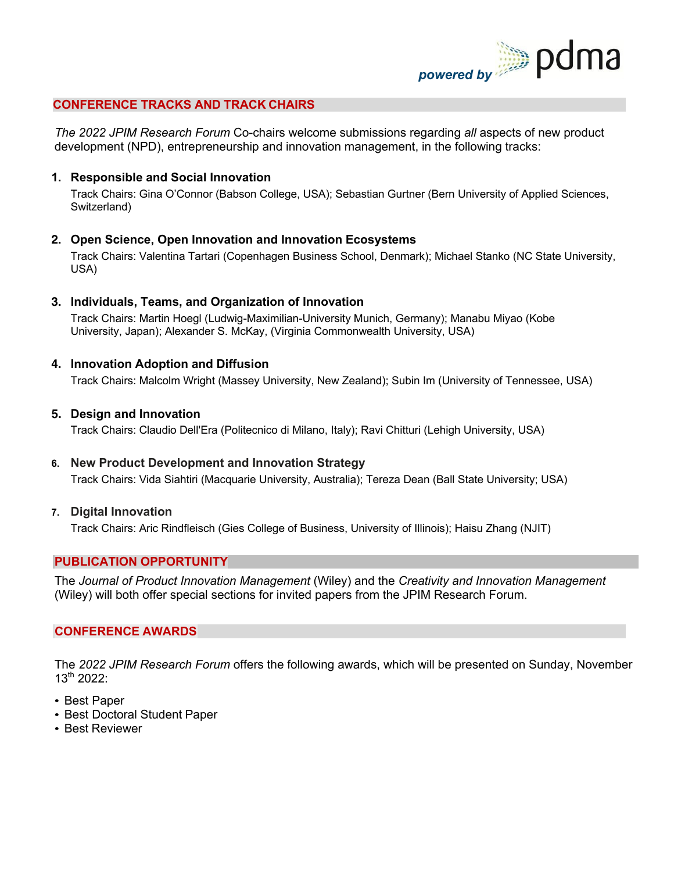

# **CONFERENCE TRACKS AND TRACK CHAIRS**

*The 2022 JPIM Research Forum* Co-chairs welcome submissions regarding *all* aspects of new product development (NPD), entrepreneurship and innovation management, in the following tracks:

#### **1. Responsible and Social Innovation**

Track Chairs: Gina O'Connor (Babson College, USA); Sebastian Gurtner (Bern University of Applied Sciences, Switzerland)

## **2. Open Science, Open Innovation and Innovation Ecosystems**

Track Chairs: Valentina Tartari (Copenhagen Business School, Denmark); Michael Stanko (NC State University, USA)

## **3. Individuals, Teams, and Organization of Innovation**

Track Chairs: Martin Hoegl (Ludwig-Maximilian-University Munich, Germany); Manabu Miyao (Kobe University, Japan); Alexander S. McKay, (Virginia Commonwealth University, USA)

### **4. Innovation Adoption and Diffusion**

Track Chairs: Malcolm Wright (Massey University, New Zealand); Subin Im (University of Tennessee, USA)

#### **5. Design and Innovation**

Track Chairs: Claudio Dell'Era (Politecnico di Milano, Italy); Ravi Chitturi (Lehigh University, USA)

## **6. New Product Development and Innovation Strategy**

Track Chairs: Vida Siahtiri (Macquarie University, Australia); Tereza Dean (Ball State University; USA)

#### **7. Digital Innovation**

Track Chairs: Aric Rindfleisch (Gies College of Business, University of Illinois); Haisu Zhang (NJIT)

## **PUBLICATION OPPORTUNITY**

The *Journal of Product Innovation Management* (Wiley) and the *Creativity and Innovation Management* (Wiley) will both offer special sections for invited papers from the JPIM Research Forum.

#### **CONFERENCE AWARDS**

The *2022 JPIM Research Forum* offers the following awards, which will be presented on Sunday, November 13th 2022:

- Best Paper
- Best Doctoral Student Paper
- Best Reviewer